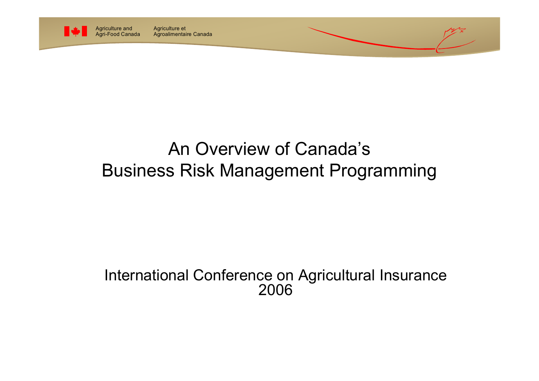

Agriculture et Agroalimentaire Canada

## An Overview of Canada'sBusiness Risk Management Programming

#### International Conference on Agricultural Insurance 2006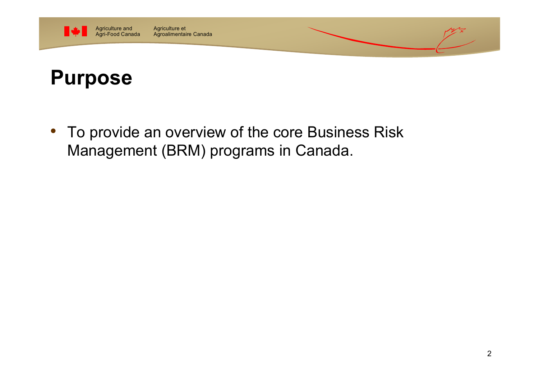

#### Agriculture et Agroalimentaire Canada

# **Purpose**

• To provide an overview of the core Business Risk Management (BRM) programs in Canada.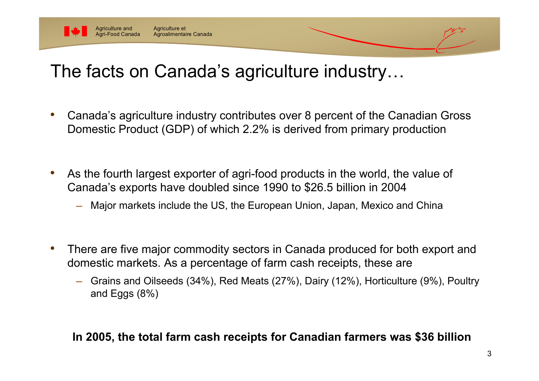

# The facts on Canada's agriculture industry…

- • Canada's agriculture industry contributes over 8 percent of the Canadian Gross Domestic Product (GDP) of which 2.2% is derived from primary production
- • As the fourth largest exporter of agri-food products in the world, the value of Canada's exports have doubled since 1990 to \$26.5 billion in 2004
	- Major markets include the US, the European Union, Japan, Mexico and China
- • There are five major commodity sectors in Canada produced for both export and domestic markets. As a percentage of farm cash receipts, these are
	- ─ Grains and Oilseeds (34%), Red Meats (27%), Dairy (12%), Horticulture (9%), Poultry and Eggs (8%)

#### **In 2005, the total farm cash receipts for Canadian farmers was \$36 billion**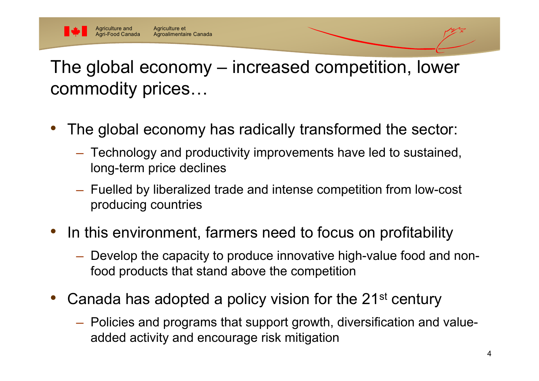

The global economy – increased competition, lower commodity prices…

- • The global economy has radically transformed the sector:
	- Technology and productivity improvements have led to sustained, long-term price declines
	- Fuelled by liberalized trade and intense competition from low-cost producing countries
- • In this environment, farmers need to focus on profitability
	- Develop the capacity to produce innovative high-value food and nonfood products that stand above the competition
- • Canada has adopted a policy vision for the 21st century
	- Policies and programs that support growth, diversification and valueadded activity and encourage risk mitigation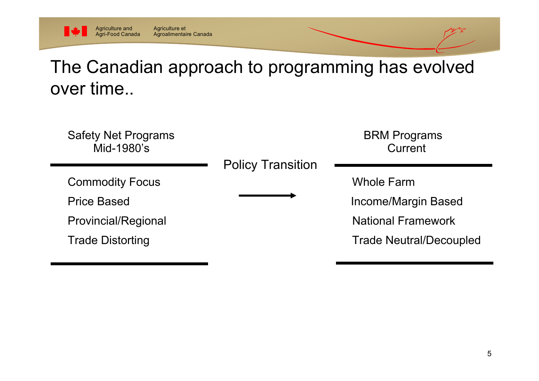

#### The Canadian approach to programming has evolved over time..

Safety Net Programs **BRM** Programs Mid-1980's Current

Commodity Focus **Whole Farm** 

Policy Transition

Price Based **Income/Margin Based Income/Margin Based** 

Provincial/Regional National Framework

Trade Distorting Trade Neutral/Decoupled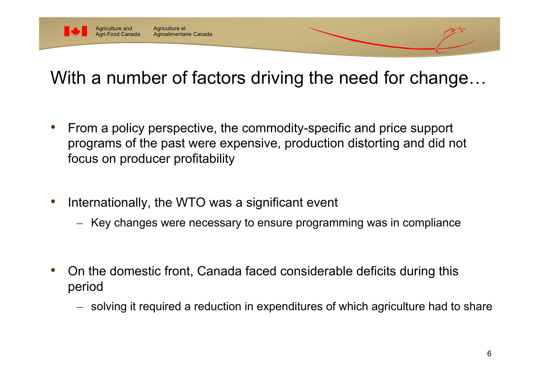

## With a number of factors driving the need for change…

- • From a policy perspective, the commodity-specific and price support programs of the past were expensive, production distorting and did not focus on producer profitability
- • Internationally, the WTO was a significant event
	- <del>────</del> Key changes were necessary to ensure programming was in compliance

- • On the domestic front, Canada faced considerable deficits during this period
	- $-$  solving it required a reduction in expenditures of which agriculture had to shar $\epsilon$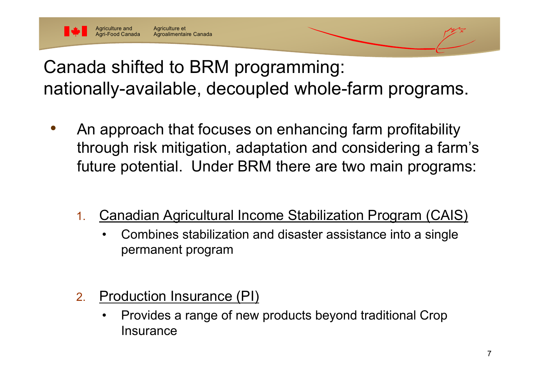

Canada shifted to BRM programming: nationally-available, decoupled whole-farm programs.

- • An approach that focuses on enhancing farm profitability through risk mitigation, adaptation and considering a farm's future potential. Under BRM there are two main programs:
	- 1. Canadian Agricultural Income Stabilization Program (CAIS)
		- • Combines stabilization and disaster assistance into a single permanent program
	- 2. Production Insurance (PI)
		- • Provides a range of new products beyond traditional Crop **Insurance**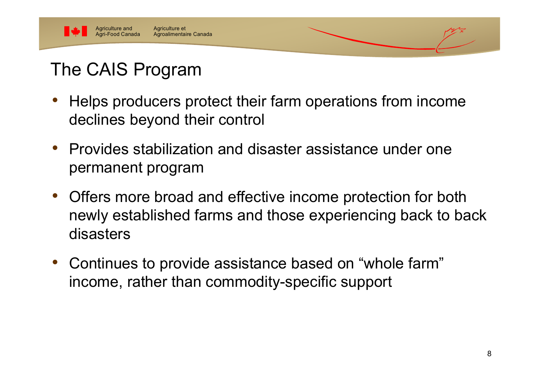

# The CAIS Program

- • Helps producers protect their farm operations from income declines beyond their control
- Provides stabilization and disaster assistance under one permanent program
- $\bullet$  Offers more broad and effective income protection for both newly established farms and those experiencing back to back disasters
- • Continues to provide assistance based on "whole farm" income, rather than commodity-specific support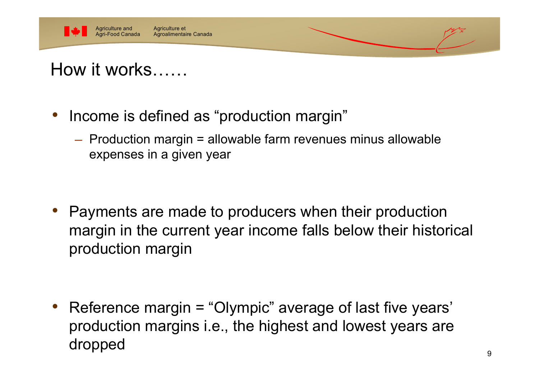

## How it works……

- • Income is defined as "production margin"
	- $-$  Production margin = allowable farm revenues minus allowable expenses in a given year

• Payments are made to producers when their production margin in the current year income falls below their historical production margin

• Reference margin = "Olympic" average of last five years' production margins i.e., the highest and lowest years are dropped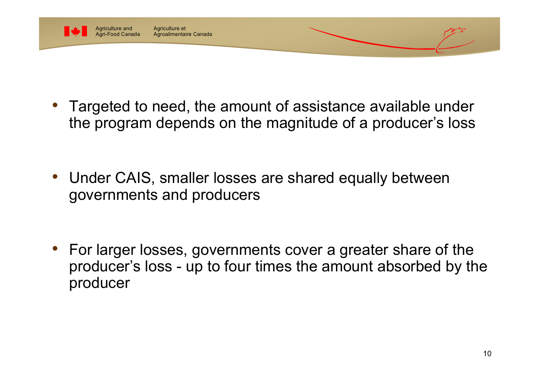

Agriculture et Agroalimentaire Canada

• Targeted to need, the amount of assistance available under the program depends on the magnitude of a producer's loss

• Under CAIS, smaller losses are shared equally between governments and producers

• For larger losses, governments cover a greater share of the producer's loss - up to four times the amount absorbed by the producer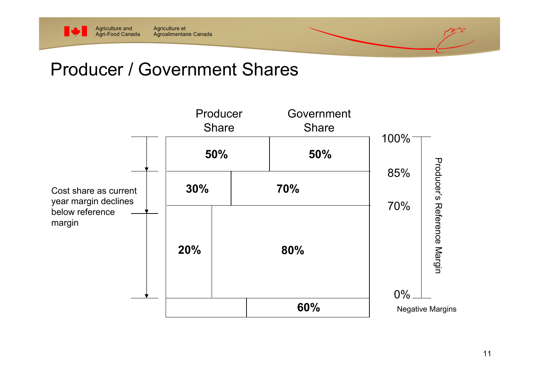

#### Producer / Government Shares

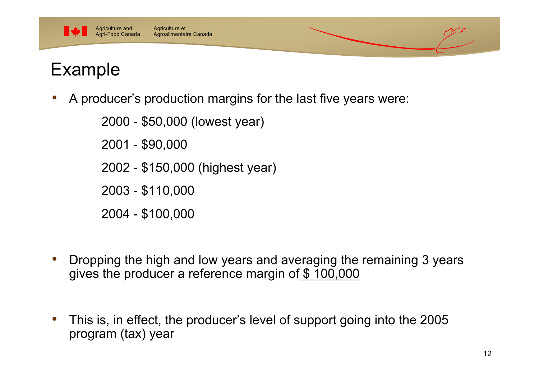



•A producer's production margins for the last five years were:

2000 - \$50,000 (lowest year)

2001 - \$90,000

2002 - \$150,000 (highest year)

2003 - \$110,000

2004 - \$100,000

- $\bullet$  Dropping the high and low years and averaging the remaining 3 years gives the producer a reference margin of \$ 100,000
- • This is, in effect, the producer's level of support going into the 2005 program (tax) year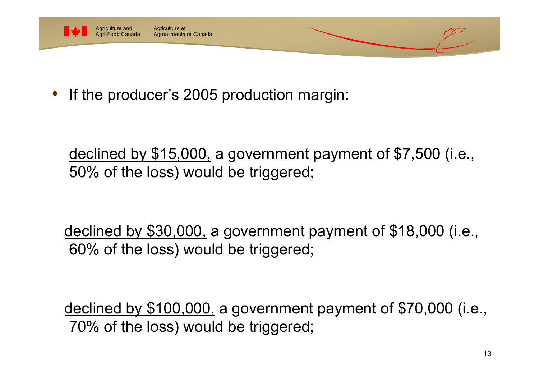

•If the producer's 2005 production margin:

declined by \$15,000, a government payment of \$7,500 (i.e., 50% of the loss) would be triggered;

declined by \$30,000, a government payment of \$18,000 (i.e., 60% of the loss) would be triggered;

declined by \$100,000, a government payment of \$70,000 (i.e., 70% of the loss) would be triggered;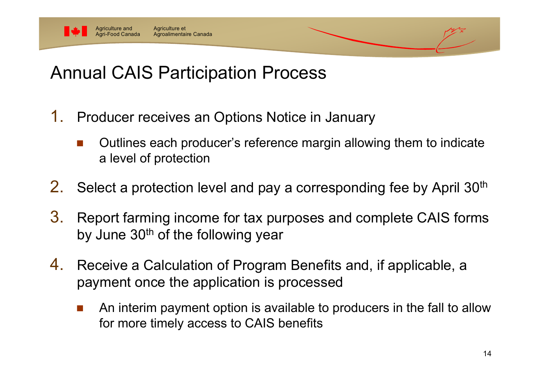

#### Agriculture et Agroalimentaire Canada

# Annual CAIS Participation Process

- 1. Producer receives an Options Notice in January
	- Outlines each producer's reference margin allowing them to indicate a level of protection
- 2.Select a protection level and pay a corresponding fee by April 30<sup>th</sup>
- 3. Report farming income for tax purposes and complete CAIS forms by June  $30<sup>th</sup>$  of the following year
- 4. Receive a Calculation of Program Benefits and, if applicable, a payment once the application is processed
	- L. An interim payment option is available to producers in the fall to allow for more timely access to CAIS benefits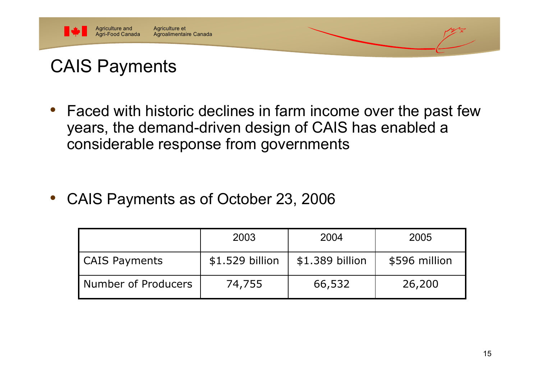

# CAIS Payments

• Faced with historic declines in farm income over the past few years, the demand-driven design of CAIS has enabled a considerable response from governments

•CAIS Payments as of October 23, 2006

|                      | 2003            | 2004            | 2005          |
|----------------------|-----------------|-----------------|---------------|
| <b>CAIS Payments</b> | \$1.529 billion | \$1.389 billion | \$596 million |
| Number of Producers  | 74,755          | 66,532          | 26,200        |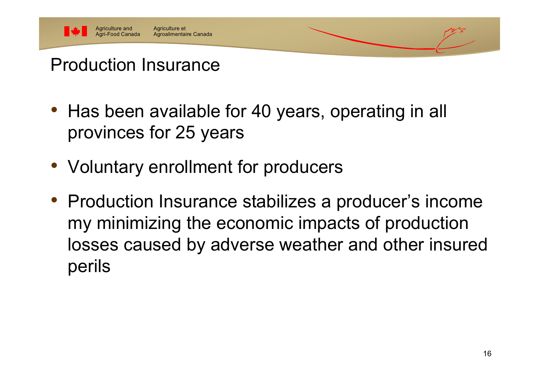

# Production Insurance

- Has been available for 40 years, operating in all provinces for 25 years
- Voluntary enrollment for producers
- Production Insurance stabilizes a producer's income my minimizing the economic impacts of production losses caused by adverse weather and other insured perils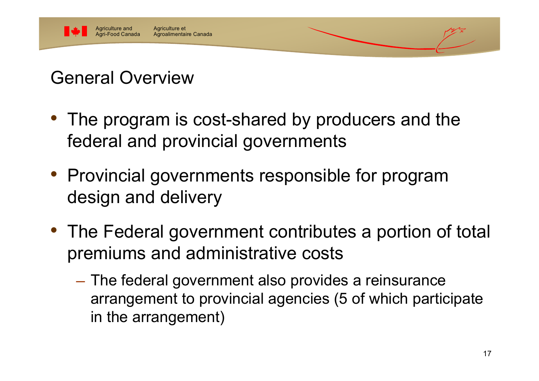

# General Overview

- • The program is cost-shared by producers and the federal and provincial governments
- Provincial governments responsible for program design and delivery
- $\bullet\,$  The Federal government contributes a portion of total premiums and administrative costs
	- The federal government also provides a reinsurance arrangement to provincial agencies (5 of which participate in the arrangement)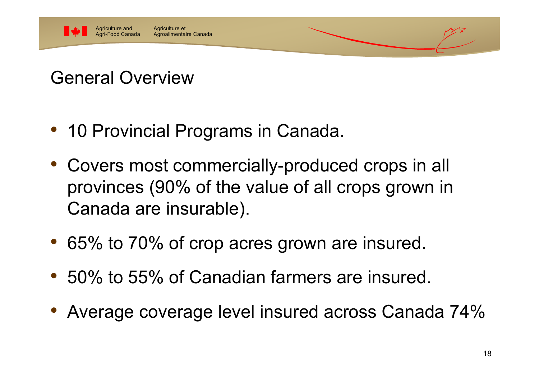

# General Overview

- 10 Provincial Programs in Canada.
- Covers most commercially-produced crops in all provinces (90% of the value of all crops grown in Canada are insurable).
- 65% to 70% of crop acres grown are insured.
- 50% to 55% of Canadian farmers are insured.
- Average coverage level insured across Canada 74%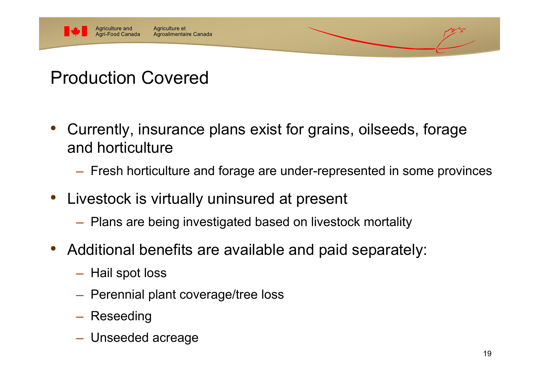

# Production Covered

- • Currently, insurance plans exist for grains, oilseeds, forage and horticulture
	- $-$  Fresh horticulture and forage are under-represented in some province:
- • Livestock is virtually uninsured at present
	- $-$  Plans are being investigated based on livestock mortality
- • Additional benefits are available and paid separately:
	- $-$  Hail spot loss
	- $-$  Perennial plant coverage/tree loss
	- Reseeding
	- Unseeded acreage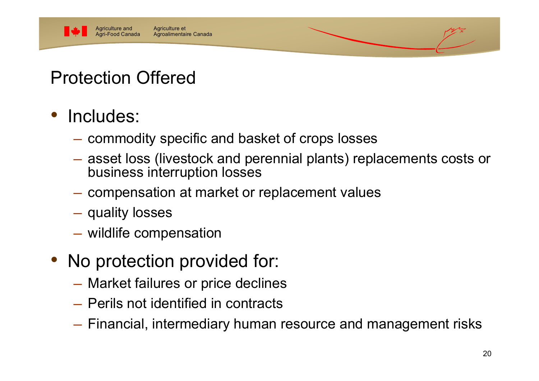

# Protection Offered

- • Includes:
	- $-$  commodity specific and basket of crops losses
	- $-$  asset loss (livestock and perennial plants) replacements costs or business interruption losses
	- $-$  compensation at market or replacement values  $\overline{\phantom{a}}$
	- $-$  quality losses
	- wildlife compensation
- • No protection provided for:
	- Market failures or price declines
	- ─ Perils not identified in contracts
	- Financial, intermediary human resource and management risks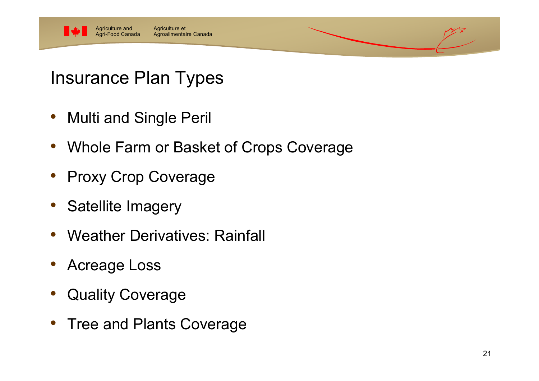

## Insurance Plan Types

- Multi and Single Peril
- Whole Farm or Basket of Crops Coverage
- Proxy Crop Coverage
- Satellite Imagery
- Weather Derivatives: Rainfall
- Acreage Loss
- Quality Coverage
- Tree and Plants Coverage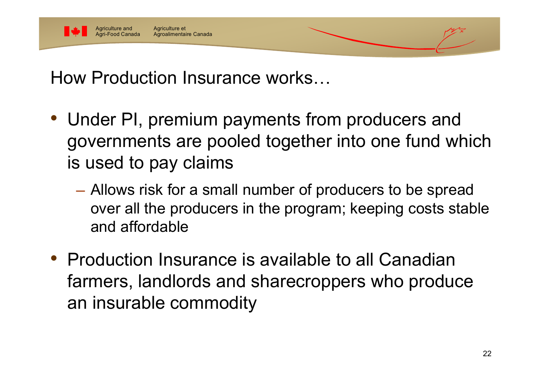

How Production Insurance works…

- • Under PI, premium payments from producers and governments are pooled together into one fund which is used to pay claims
	- Allows risk for a small number of producers to be spread over all the producers in the program; keeping costs stable and affordable
- • Production Insurance is available to all Canadian farmers, landlords and sharecroppers who produce an insurable commodity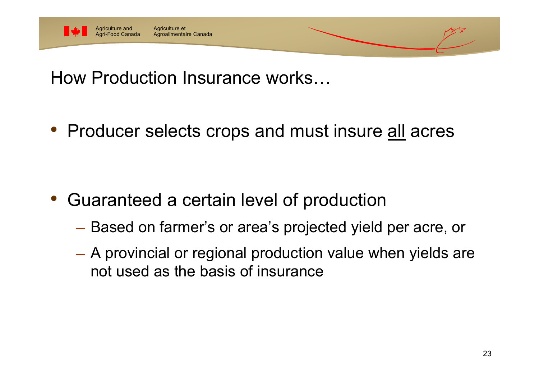

How Production Insurance works…

• Producer selects crops and must insure <u>all</u> acres

- • Guaranteed a certain level of production
	- —<br>अन्तर्भवस्थानम् । Based on farmer's or area's projected yield per acre, or
	- A provincial or regional production value when yields are not used as the basis of insurance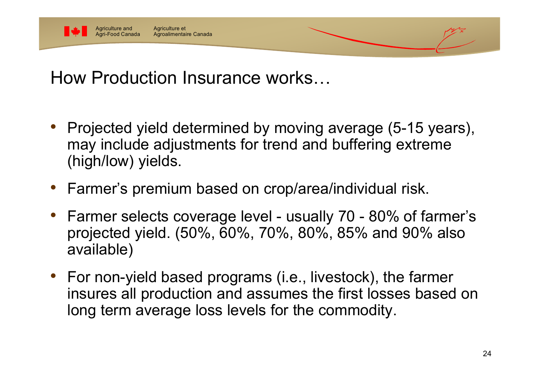

How Production Insurance works…

- • Projected yield determined by moving average (5-15 years), may include adjustments for trend and buffering extreme (high/low) yields.
- •Farmer's premium based on crop/area/individual risk.
- • Farmer selects coverage level - usually 70 - 80% of farmer's projected yield. (50%, 60%, 70%, 80%, 85% and 90% also available)
- • For non-yield based programs (i.e., livestock), the farmer insures all production and assumes the first losses based on long term average loss levels for the commodity.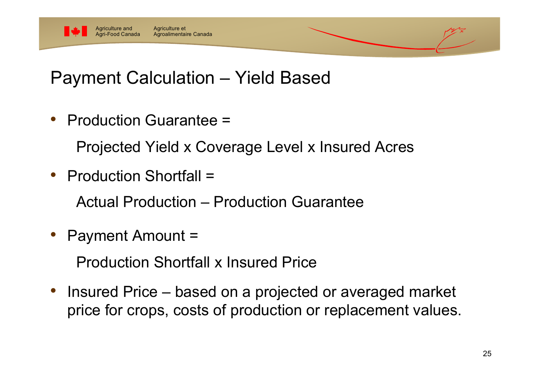

#### Payment Calculation – Yield Based

- • Production Guarantee =Projected Yield x Coverage Level x Insured Acres
- • Production Shortfall =Actual Production – Production Guarantee
- •Payment Amount =

Production Shortfall x Insured Price

• Insured Price – based on a projected or averaged market price for crops, costs of production or replacement values.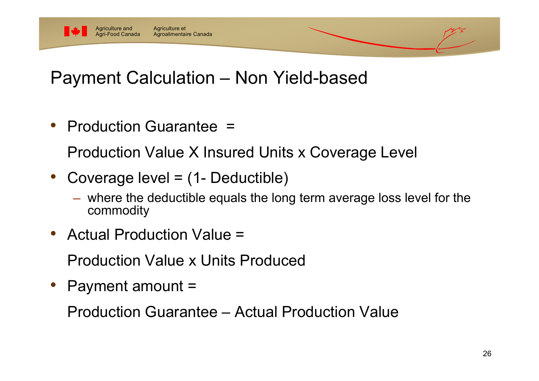

### Payment Calculation – Non Yield-based

•Production Guarantee =

Production Value X Insured Units x Coverage Level

- • Coverage level = (1- Deductible)
	- where the deductible equals the long term average loss level for the commodity
- •Actual Production Value =

Production Value x Units Produced

•Payment amount =

Production Guarantee – Actual Production Value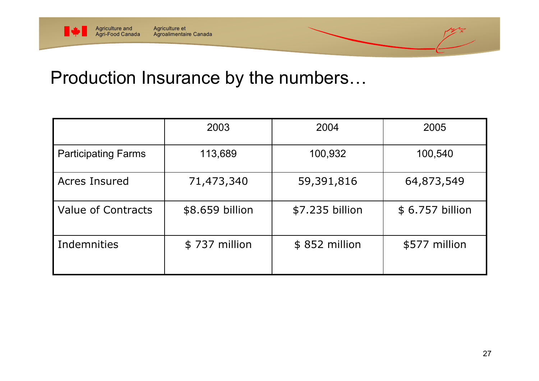

#### Agroalimentaire Canada

#### Production Insurance by the numbers…

|                            | 2003            | 2004            | 2005            |
|----------------------------|-----------------|-----------------|-----------------|
| <b>Participating Farms</b> | 113,689         | 100,932         | 100,540         |
| <b>Acres Insured</b>       | 71,473,340      | 59,391,816      | 64,873,549      |
| <b>Value of Contracts</b>  | \$8.659 billion | \$7.235 billion | \$6.757 billion |
| Indemnities                | \$737 million   | \$852 million   | \$577 million   |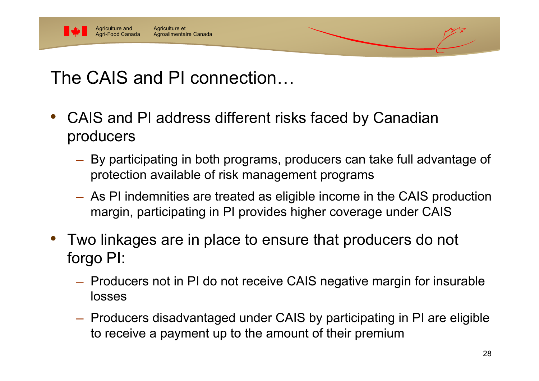

# The CAIS and PI connection…

- • CAIS and PI address different risks faced by Canadian producers
	- $-$  By participating in both programs, producers can take full advantage o protection available of risk management programs
	- As PI indemnities are treated as eligible income in the CAIS production margin, participating in PI provides higher coverage under CAIS
- • Two linkages are in place to ensure that producers do not forgo PI:
	- $-$  Producers not in PI do not receive CAIS negative margin for insurable losses
	- $-$  Producers disadvantaged under CAIS by participating in PI are eligible to receive a payment up to the amount of their premium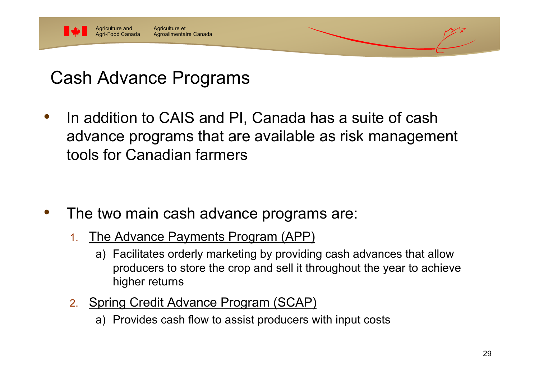

# Cash Advance Programs

 In addition to CAIS and PI, Canada has a suite of cash advance programs that are available as risk management tools for Canadian farmers

#### The two main cash advance programs are:

- 1. The Advance Payments Program (APP)
	- a) Facilitates orderly marketing by providing cash advances that allow producers to store the crop and sell it throughout the year to achieve higher returns
- 2. Spring Credit Advance Program (SCAP)
	- a) Provides cash flow to assist producers with input costs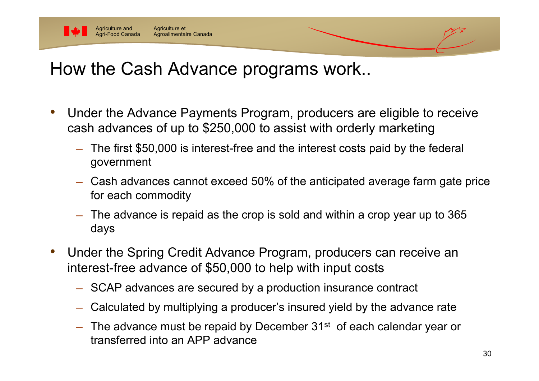

Agriculture et

Agroalimentaire Canada

Agriculture and Agri-Food Canada

- • Under the Advance Payments Program, producers are eligible to receive cash advances of up to \$250,000 to assist with orderly marketing
	- ─ The first \$50,000 is interest-free and the interest costs paid by the federal government
	- $-$  Cash advances cannot exceed 50% of the anticipated average farm gate price for each commodity
	- $-$  The advance is repaid as the crop is sold and within a crop year up to 365  $\,$ days
- • Under the Spring Credit Advance Program, producers can receive an interest-free advance of \$50,000 to help with input costs
	- ─ SCAP advances are secured by a production insurance contract
	- Calculated by multiplying a producer's insured yield by the advance rate
	- The advance must be repaid by December 31<sup>st</sup> of each calendar year or transferred into an APP advance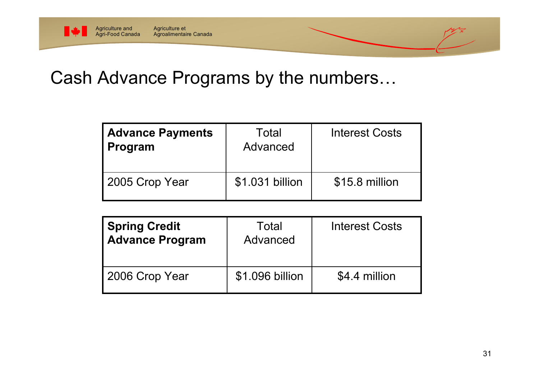

## Cash Advance Programs by the numbers…

| <b>Advance Payments</b><br>Program | Total<br>Advanced | <b>Interest Costs</b> |
|------------------------------------|-------------------|-----------------------|
| 2005 Crop Year                     | \$1.031 billion   | \$15.8 million        |

| <b>Spring Credit</b><br>Advance Program | Total<br>Advanced | <b>Interest Costs</b> |
|-----------------------------------------|-------------------|-----------------------|
| 2006 Crop Year                          | \$1.096 billion   | \$4.4 million         |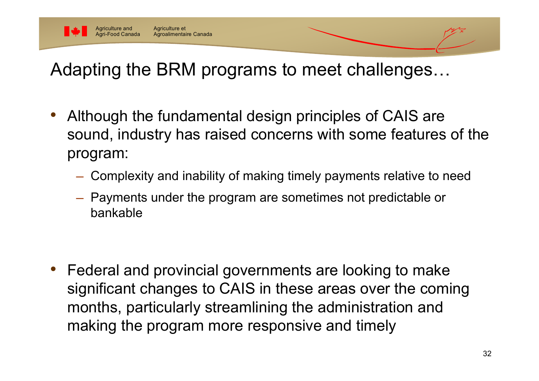

# Adapting the BRM programs to meet challenges…

- • Although the fundamental design principles of CAIS are sound, industry has raised concerns with some features of the program:
	- Complexity and inability of making timely payments relative to need
	- Payments under the program are sometimes not predictable or bankable

• Federal and provincial governments are looking to make significant changes to CAIS in these areas over the coming months, particularly streamlining the administration and making the program more responsive and timely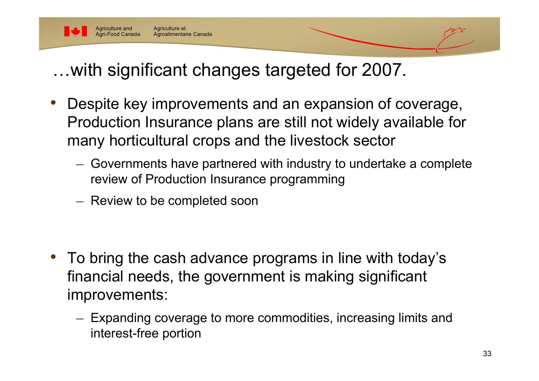

…with significant changes targeted for 2007.

- • Despite key improvements and an expansion of coverage, Production Insurance plans are still not widely available for many horticultural crops and the livestock sector
	- Governments have partnered with industry to undertake a complete review of Production Insurance programming
	- $-$  Review to be completed soon

- • To bring the cash advance programs in line with today's financial needs, the government is making significant improvements:
	- Expanding coverage to more commodities, increasing limits and interest-free portion